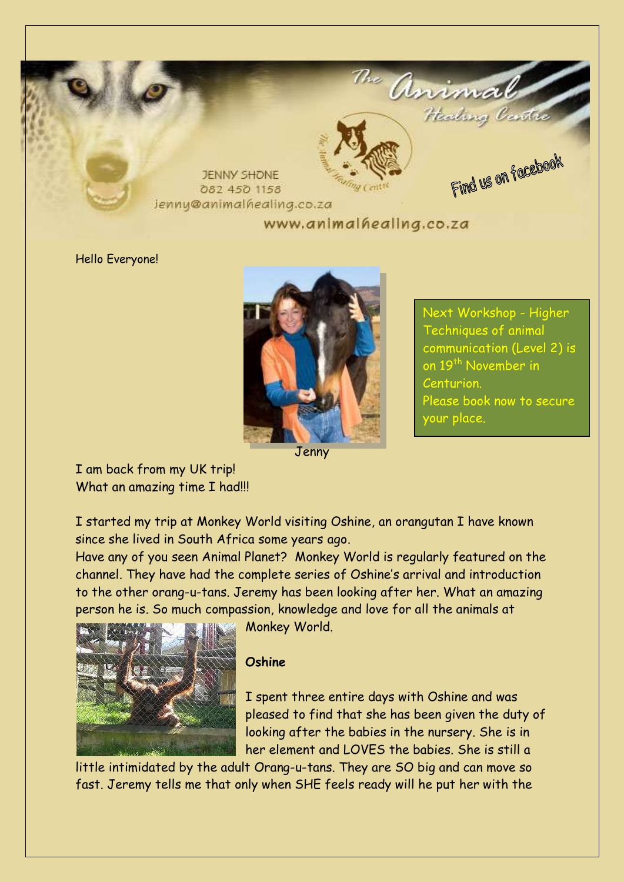

Hello Everyone!



Techniques of animal communication (Level 2) is on 19<sup>th</sup> November in Centurion. Please book now to secure your place.

Next Workshop - Higher

Jenny

I am back from my UK trip! What an amazing time I had!!!

I started my trip at Monkey World visiting Oshine, an orangutan I have known since she lived in South Africa some years ago.

Have any of you seen Animal Planet? Monkey World is regularly featured on the channel. They have had the complete series of Oshine's arrival and introduction to the other orang-u-tans. Jeremy has been looking after her. What an amazing person he is. So much compassion, knowledge and love for all the animals at



Monkey World.

#### **Oshine**

I spent three entire days with Oshine and was pleased to find that she has been given the duty of looking after the babies in the nursery. She is in her element and LOVES the babies. She is still a

little intimidated by the adult Orang-u-tans. They are SO big and can move so fast. Jeremy tells me that only when SHE feels ready will he put her with the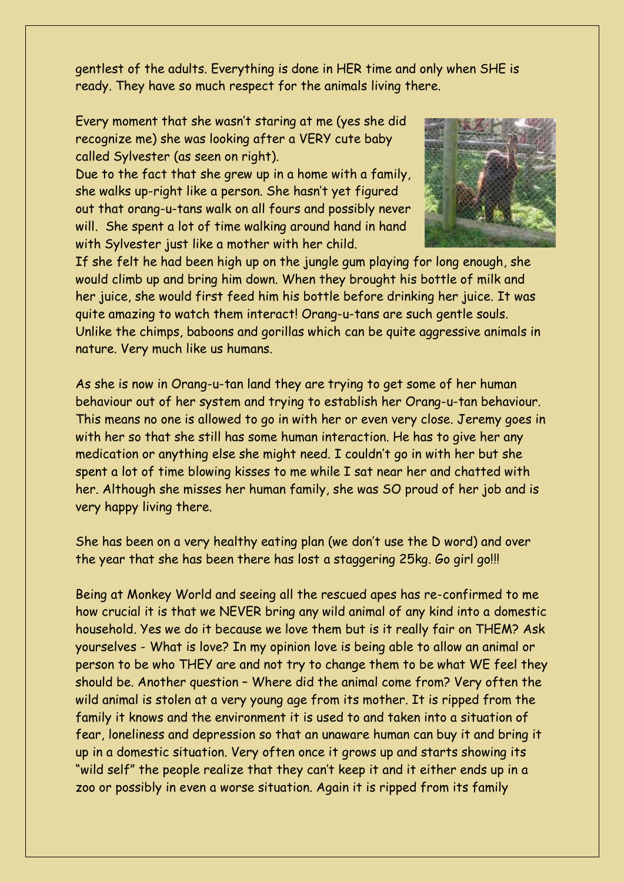gentlest of the adults. Everything is done in HER time and only when SHE is ready. They have so much respect for the animals living there.

Every moment that she wasn't staring at me (yes she did recognize me) she was looking after a VERY cute baby called Sylvester (as seen on right).

Due to the fact that she grew up in a home with a family, she walks up-right like a person. She hasn't yet figured out that orang-u-tans walk on all fours and possibly never will. She spent a lot of time walking around hand in hand with Sylvester just like a mother with her child.



If she felt he had been high up on the jungle gum playing for long enough, she would climb up and bring him down. When they brought his bottle of milk and her juice, she would first feed him his bottle before drinking her juice. It was quite amazing to watch them interact! Orang-u-tans are such gentle souls. Unlike the chimps, baboons and gorillas which can be quite aggressive animals in nature. Very much like us humans.

As she is now in Orang-u-tan land they are trying to get some of her human behaviour out of her system and trying to establish her Orang-u-tan behaviour. This means no one is allowed to go in with her or even very close. Jeremy goes in with her so that she still has some human interaction. He has to give her any medication or anything else she might need. I couldn't go in with her but she spent a lot of time blowing kisses to me while I sat near her and chatted with her. Although she misses her human family, she was SO proud of her job and is very happy living there.

She has been on a very healthy eating plan (we don't use the D word) and over the year that she has been there has lost a staggering 25kg. Go girl go!!!

Being at Monkey World and seeing all the rescued apes has re-confirmed to me how crucial it is that we NEVER bring any wild animal of any kind into a domestic household. Yes we do it because we love them but is it really fair on THEM? Ask yourselves - What is love? In my opinion love is being able to allow an animal or person to be who THEY are and not try to change them to be what WE feel they should be. Another question – Where did the animal come from? Very often the wild animal is stolen at a very young age from its mother. It is ripped from the family it knows and the environment it is used to and taken into a situation of fear, loneliness and depression so that an unaware human can buy it and bring it up in a domestic situation. Very often once it grows up and starts showing its "wild self" the people realize that they can't keep it and it either ends up in a zoo or possibly in even a worse situation. Again it is ripped from its family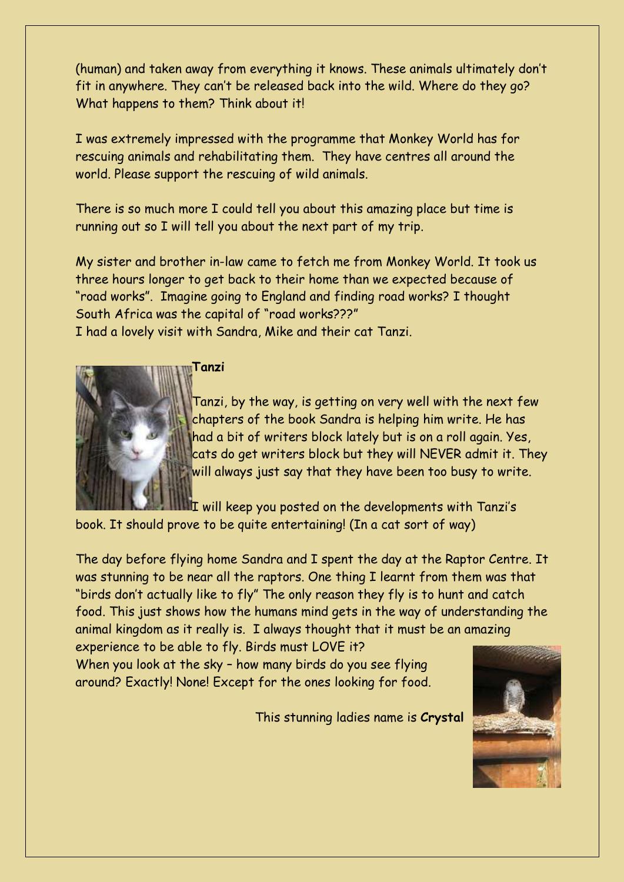(human) and taken away from everything it knows. These animals ultimately don't fit in anywhere. They can't be released back into the wild. Where do they go? What happens to them? Think about it!

I was extremely impressed with the programme that Monkey World has for rescuing animals and rehabilitating them. They have centres all around the world. Please support the rescuing of wild animals.

There is so much more I could tell you about this amazing place but time is running out so I will tell you about the next part of my trip.

My sister and brother in-law came to fetch me from Monkey World. It took us three hours longer to get back to their home than we expected because of "road works". Imagine going to England and finding road works? I thought South Africa was the capital of "road works???" I had a lovely visit with Sandra, Mike and their cat Tanzi.



**Tanzi**

Tanzi, by the way, is getting on very well with the next few chapters of the book Sandra is helping him write. He has had a bit of writers block lately but is on a roll again. Yes, cats do get writers block but they will NEVER admit it. They will always just say that they have been too busy to write.

I will keep you posted on the developments with Tanzi's book. It should prove to be quite entertaining! (In a cat sort of way)

The day before flying home Sandra and I spent the day at the Raptor Centre. It was stunning to be near all the raptors. One thing I learnt from them was that "birds don't actually like to fly" The only reason they fly is to hunt and catch food. This just shows how the humans mind gets in the way of understanding the animal kingdom as it really is. I always thought that it must be an amazing experience to be able to fly. Birds must LOVE it?

When you look at the sky – how many birds do you see flying around? Exactly! None! Except for the ones looking for food.

This stunning ladies name is **Crystal**

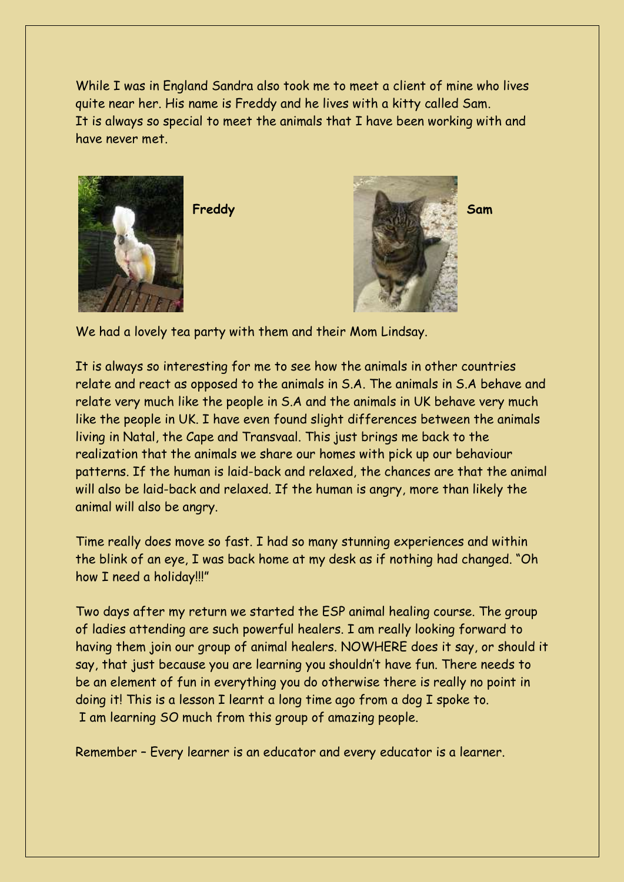While I was in England Sandra also took me to meet a client of mine who lives quite near her. His name is Freddy and he lives with a kitty called Sam. It is always so special to meet the animals that I have been working with and have never met.





We had a lovely tea party with them and their Mom Lindsay.

It is always so interesting for me to see how the animals in other countries relate and react as opposed to the animals in S.A. The animals in S.A behave and relate very much like the people in S.A and the animals in UK behave very much like the people in UK. I have even found slight differences between the animals living in Natal, the Cape and Transvaal. This just brings me back to the realization that the animals we share our homes with pick up our behaviour patterns. If the human is laid-back and relaxed, the chances are that the animal will also be laid-back and relaxed. If the human is angry, more than likely the animal will also be angry.

Time really does move so fast. I had so many stunning experiences and within the blink of an eye, I was back home at my desk as if nothing had changed. "Oh how I need a holiday!!!"

Two days after my return we started the ESP animal healing course. The group of ladies attending are such powerful healers. I am really looking forward to having them join our group of animal healers. NOWHERE does it say, or should it say, that just because you are learning you shouldn't have fun. There needs to be an element of fun in everything you do otherwise there is really no point in doing it! This is a lesson I learnt a long time ago from a dog I spoke to. I am learning SO much from this group of amazing people.

Remember – Every learner is an educator and every educator is a learner.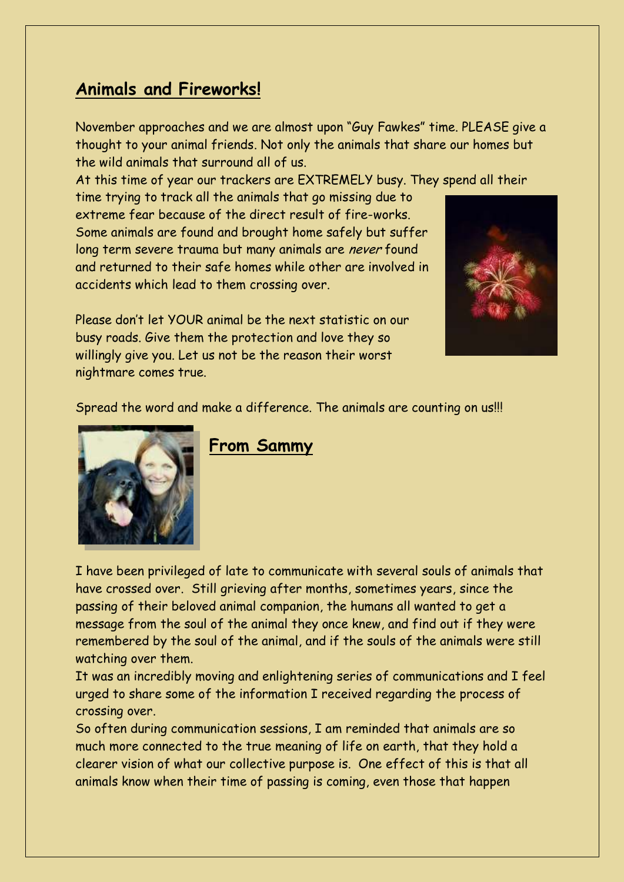## **Animals and Fireworks!**

November approaches and we are almost upon "Guy Fawkes" time. PLEASE give a thought to your animal friends. Not only the animals that share our homes but the wild animals that surround all of us.

At this time of year our trackers are EXTREMELY busy. They spend all their

time trying to track all the animals that go missing due to extreme fear because of the direct result of fire-works. Some animals are found and brought home safely but suffer long term severe trauma but many animals are never found and returned to their safe homes while other are involved in accidents which lead to them crossing over.



Please don't let YOUR animal be the next statistic on our busy roads. Give them the protection and love they so willingly give you. Let us not be the reason their worst nightmare comes true.

Spread the word and make a difference. The animals are counting on us!!!



#### **From Sammy**

I have been privileged of late to communicate with several souls of animals that have crossed over. Still grieving after months, sometimes years, since the passing of their beloved animal companion, the humans all wanted to get a message from the soul of the animal they once knew, and find out if they were remembered by the soul of the animal, and if the souls of the animals were still watching over them.

It was an incredibly moving and enlightening series of communications and I feel urged to share some of the information I received regarding the process of crossing over.

So often during communication sessions, I am reminded that animals are so much more connected to the true meaning of life on earth, that they hold a clearer vision of what our collective purpose is. One effect of this is that all animals know when their time of passing is coming, even those that happen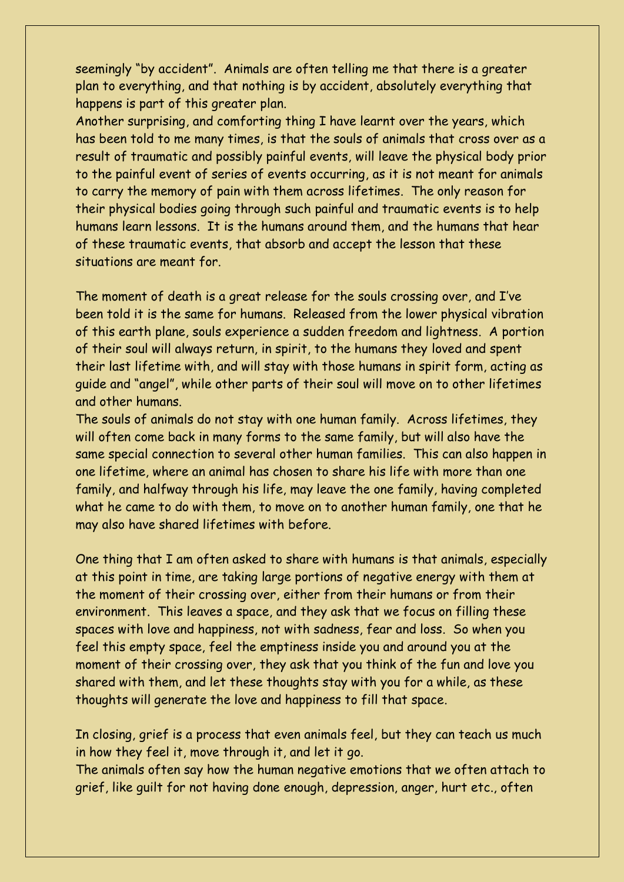seemingly "by accident". Animals are often telling me that there is a greater plan to everything, and that nothing is by accident, absolutely everything that happens is part of this greater plan.

Another surprising, and comforting thing I have learnt over the years, which has been told to me many times, is that the souls of animals that cross over as a result of traumatic and possibly painful events, will leave the physical body prior to the painful event of series of events occurring, as it is not meant for animals to carry the memory of pain with them across lifetimes. The only reason for their physical bodies going through such painful and traumatic events is to help humans learn lessons. It is the humans around them, and the humans that hear of these traumatic events, that absorb and accept the lesson that these situations are meant for.

The moment of death is a great release for the souls crossing over, and I've been told it is the same for humans. Released from the lower physical vibration of this earth plane, souls experience a sudden freedom and lightness. A portion of their soul will always return, in spirit, to the humans they loved and spent their last lifetime with, and will stay with those humans in spirit form, acting as guide and "angel", while other parts of their soul will move on to other lifetimes and other humans.

The souls of animals do not stay with one human family. Across lifetimes, they will often come back in many forms to the same family, but will also have the same special connection to several other human families. This can also happen in one lifetime, where an animal has chosen to share his life with more than one family, and halfway through his life, may leave the one family, having completed what he came to do with them, to move on to another human family, one that he may also have shared lifetimes with before.

One thing that I am often asked to share with humans is that animals, especially at this point in time, are taking large portions of negative energy with them at the moment of their crossing over, either from their humans or from their environment. This leaves a space, and they ask that we focus on filling these spaces with love and happiness, not with sadness, fear and loss. So when you feel this empty space, feel the emptiness inside you and around you at the moment of their crossing over, they ask that you think of the fun and love you shared with them, and let these thoughts stay with you for a while, as these thoughts will generate the love and happiness to fill that space.

In closing, grief is a process that even animals feel, but they can teach us much in how they feel it, move through it, and let it go.

The animals often say how the human negative emotions that we often attach to grief, like guilt for not having done enough, depression, anger, hurt etc., often